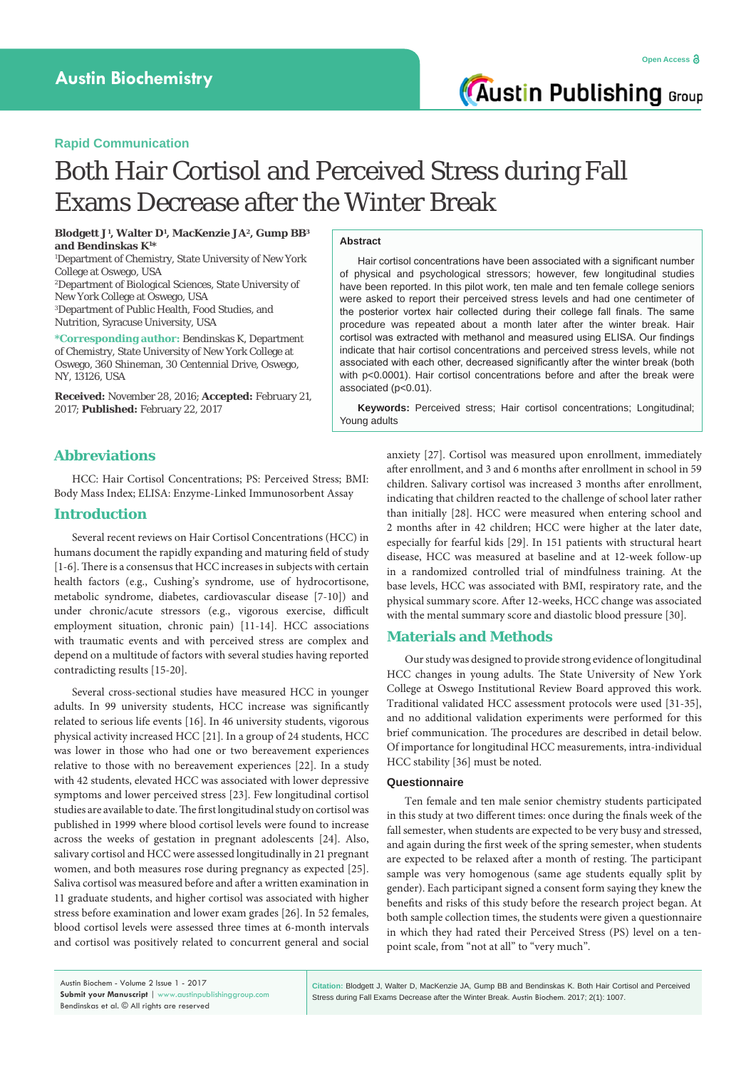# **Rapid Communication**

# Both Hair Cortisol and Perceived Stress during Fall Exams Decrease after the Winter Break

**Blodgett J1 , Walter D1 , MacKenzie JA2, Gump BB3 and Bendinskas K1 \***

1 Department of Chemistry, State University of New York College at Oswego, USA

2 Department of Biological Sciences, State University of New York College at Oswego, USA 3 Department of Public Health, Food Studies, and Nutrition, Syracuse University, USA

**\*Corresponding author:** Bendinskas K, Department of Chemistry, State University of New York College at Oswego, 360 Shineman, 30 Centennial Drive, Oswego, NY, 13126, USA

**Received:** November 28, 2016; **Accepted:** February 21, 2017; **Published:** February 22, 2017

#### **Abstract**

Hair cortisol concentrations have been associated with a significant number of physical and psychological stressors; however, few longitudinal studies have been reported. In this pilot work, ten male and ten female college seniors were asked to report their perceived stress levels and had one centimeter of the posterior vortex hair collected during their college fall finals. The same procedure was repeated about a month later after the winter break. Hair cortisol was extracted with methanol and measured using ELISA. Our findings indicate that hair cortisol concentrations and perceived stress levels, while not associated with each other, decreased significantly after the winter break (both with p<0.0001). Hair cortisol concentrations before and after the break were associated (p<0.01).

**Keywords:** Perceived stress; Hair cortisol concentrations; Longitudinal; Young adults

# **Abbreviations**

HCC: Hair Cortisol Concentrations; PS: Perceived Stress; BMI: Body Mass Index; ELISA: Enzyme-Linked Immunosorbent Assay

# **Introduction**

Several recent reviews on Hair Cortisol Concentrations (HCC) in humans document the rapidly expanding and maturing field of study [1-6]. There is a consensus that HCC increases in subjects with certain health factors (e.g., Cushing's syndrome, use of hydrocortisone, metabolic syndrome, diabetes, cardiovascular disease [7-10]) and under chronic/acute stressors (e.g., vigorous exercise, difficult employment situation, chronic pain) [11-14]. HCC associations with traumatic events and with perceived stress are complex and depend on a multitude of factors with several studies having reported contradicting results [15-20].

Several cross-sectional studies have measured HCC in younger adults. In 99 university students, HCC increase was significantly related to serious life events [16]. In 46 university students, vigorous physical activity increased HCC [21]. In a group of 24 students, HCC was lower in those who had one or two bereavement experiences relative to those with no bereavement experiences [22]. In a study with 42 students, elevated HCC was associated with lower depressive symptoms and lower perceived stress [23]. Few longitudinal cortisol studies are available to date. The first longitudinal study on cortisol was published in 1999 where blood cortisol levels were found to increase across the weeks of gestation in pregnant adolescents [24]. Also, salivary cortisol and HCC were assessed longitudinally in 21 pregnant women, and both measures rose during pregnancy as expected [25]. Saliva cortisol was measured before and after a written examination in 11 graduate students, and higher cortisol was associated with higher stress before examination and lower exam grades [26]. In 52 females, blood cortisol levels were assessed three times at 6-month intervals and cortisol was positively related to concurrent general and social

anxiety [27]. Cortisol was measured upon enrollment, immediately after enrollment, and 3 and 6 months after enrollment in school in 59 children. Salivary cortisol was increased 3 months after enrollment, indicating that children reacted to the challenge of school later rather than initially [28]. HCC were measured when entering school and 2 months after in 42 children; HCC were higher at the later date, especially for fearful kids [29]. In 151 patients with structural heart disease, HCC was measured at baseline and at 12-week follow-up in a randomized controlled trial of mindfulness training. At the base levels, HCC was associated with BMI, respiratory rate, and the physical summary score. After 12-weeks, HCC change was associated with the mental summary score and diastolic blood pressure [30].

# **Materials and Methods**

Our study was designed to provide strong evidence of longitudinal HCC changes in young adults. The State University of New York College at Oswego Institutional Review Board approved this work. Traditional validated HCC assessment protocols were used [31-35], and no additional validation experiments were performed for this brief communication. The procedures are described in detail below. Of importance for longitudinal HCC measurements, intra-individual HCC stability [36] must be noted.

### **Questionnaire**

Ten female and ten male senior chemistry students participated in this study at two different times: once during the finals week of the fall semester, when students are expected to be very busy and stressed, and again during the first week of the spring semester, when students are expected to be relaxed after a month of resting. The participant sample was very homogenous (same age students equally split by gender). Each participant signed a consent form saying they knew the benefits and risks of this study before the research project began. At both sample collection times, the students were given a questionnaire in which they had rated their Perceived Stress (PS) level on a tenpoint scale, from "not at all" to "very much".

Austin Biochem - Volume 2 Issue 1 - 2017 **Submit your Manuscript** | www.austinpublishinggroup.com Bendinskas et al. © All rights are reserved

**Citation:** Blodgett J, Walter D, MacKenzie JA, Gump BB and Bendinskas K. Both Hair Cortisol and Perceived Stress during Fall Exams Decrease after the Winter Break. Austin Biochem. 2017; 2(1): 1007.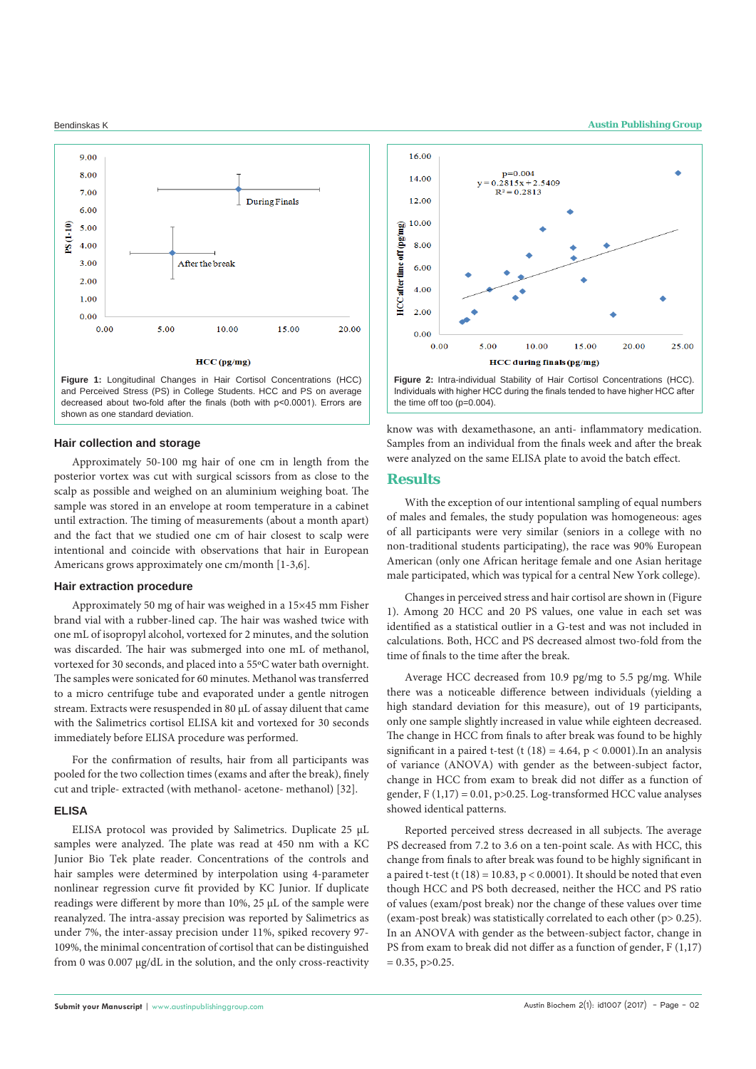

### **Hair collection and storage**

Approximately 50-100 mg hair of one cm in length from the posterior vortex was cut with surgical scissors from as close to the scalp as possible and weighed on an aluminium weighing boat. The sample was stored in an envelope at room temperature in a cabinet until extraction. The timing of measurements (about a month apart) and the fact that we studied one cm of hair closest to scalp were intentional and coincide with observations that hair in European Americans grows approximately one cm/month [1-3,6].

#### **Hair extraction procedure**

Approximately 50 mg of hair was weighed in a 15×45 mm Fisher brand vial with a rubber-lined cap. The hair was washed twice with one mL of isopropyl alcohol, vortexed for 2 minutes, and the solution was discarded. The hair was submerged into one mL of methanol, vortexed for 30 seconds, and placed into a 55ºC water bath overnight. The samples were sonicated for 60 minutes. Methanol was transferred to a micro centrifuge tube and evaporated under a gentle nitrogen stream. Extracts were resuspended in 80 μL of assay diluent that came with the Salimetrics cortisol ELISA kit and vortexed for 30 seconds immediately before ELISA procedure was performed.

For the confirmation of results, hair from all participants was pooled for the two collection times (exams and after the break), finely cut and triple- extracted (with methanol- acetone- methanol) [32].

### **ELISA**

ELISA protocol was provided by Salimetrics. Duplicate 25 μL samples were analyzed. The plate was read at 450 nm with a KC Junior Bio Tek plate reader. Concentrations of the controls and hair samples were determined by interpolation using 4-parameter nonlinear regression curve fit provided by KC Junior. If duplicate readings were different by more than 10%, 25 μL of the sample were reanalyzed. The intra-assay precision was reported by Salimetrics as under 7%, the inter-assay precision under 11%, spiked recovery 97- 109%, the minimal concentration of cortisol that can be distinguished from 0 was 0.007 μg/dL in the solution, and the only cross-reactivity





know was with dexamethasone, an anti- inflammatory medication. Samples from an individual from the finals week and after the break were analyzed on the same ELISA plate to avoid the batch effect.

# **Results**

With the exception of our intentional sampling of equal numbers of males and females, the study population was homogeneous: ages of all participants were very similar (seniors in a college with no non-traditional students participating), the race was 90% European American (only one African heritage female and one Asian heritage male participated, which was typical for a central New York college).

Changes in perceived stress and hair cortisol are shown in (Figure 1). Among 20 HCC and 20 PS values, one value in each set was identified as a statistical outlier in a G-test and was not included in calculations. Both, HCC and PS decreased almost two-fold from the time of finals to the time after the break.

Average HCC decreased from 10.9 pg/mg to 5.5 pg/mg. While there was a noticeable difference between individuals (yielding a high standard deviation for this measure), out of 19 participants, only one sample slightly increased in value while eighteen decreased. The change in HCC from finals to after break was found to be highly significant in a paired t-test (t  $(18) = 4.64$ ,  $p < 0.0001$ ). In an analysis of variance (ANOVA) with gender as the between-subject factor, change in HCC from exam to break did not differ as a function of gender,  $F(1,17) = 0.01$ ,  $p > 0.25$ . Log-transformed HCC value analyses showed identical patterns.

Reported perceived stress decreased in all subjects. The average PS decreased from 7.2 to 3.6 on a ten-point scale. As with HCC, this change from finals to after break was found to be highly significant in a paired t-test (t  $(18) = 10.83$ ,  $p < 0.0001$ ). It should be noted that even though HCC and PS both decreased, neither the HCC and PS ratio of values (exam/post break) nor the change of these values over time (exam-post break) was statistically correlated to each other (p> 0.25). In an ANOVA with gender as the between-subject factor, change in PS from exam to break did not differ as a function of gender, F (1,17)  $= 0.35$ , p $> 0.25$ .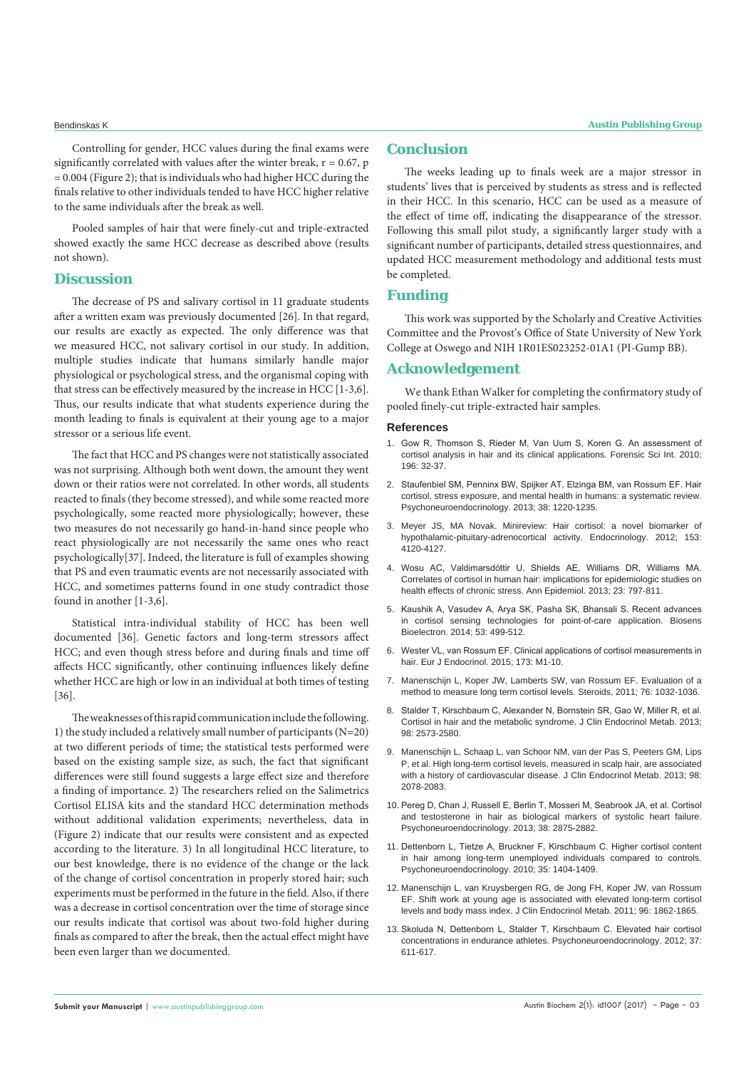Controlling for gender, HCC values during the final exams were significantly correlated with values after the winter break,  $r = 0.67$ , p  $= 0.004$  (Figure 2); that is individuals who had higher HCC during the finals relative to other individuals tended to have HCC higher relative to the same individuals after the break as well.

Pooled samples of hair that were finely-cut and triple-extracted showed exactly the same HCC decrease as described above (results not shown).

# **Discussion**

The decrease of PS and salivary cortisol in 11 graduate students after a written exam was previously documented [26]. In that regard, our results are exactly as expected. The only difference was that we measured HCC, not salivary cortisol in our study. In addition, multiple studies indicate that humans similarly handle major physiological or psychological stress, and the organismal coping with that stress can be effectively measured by the increase in HCC [1-3,6]. Thus, our results indicate that what students experience during the month leading to finals is equivalent at their young age to a major stressor or a serious life event.

The fact that HCC and PS changes were not statistically associated was not surprising. Although both went down, the amount they went down or their ratios were not correlated. In other words, all students reacted to finals (they become stressed), and while some reacted more psychologically, some reacted more physiologically; however, these two measures do not necessarily go hand-in-hand since people who react physiologically are not necessarily the same ones who react psychologically[37]. Indeed, the literature is full of examples showing that PS and even traumatic events are not necessarily associated with HCC, and sometimes patterns found in one study contradict those found in another [1-3,6].

Statistical intra-individual stability of HCC has been well documented [36]. Genetic factors and long-term stressors affect HCC; and even though stress before and during finals and time off affects HCC significantly, other continuing influences likely define whether HCC are high or low in an individual at both times of testing [36].

The weaknesses of this rapid communication include the following. 1) the study included a relatively small number of participants (N=20) at two different periods of time; the statistical tests performed were based on the existing sample size, as such, the fact that significant differences were still found suggests a large effect size and therefore a finding of importance. 2) The researchers relied on the Salimetrics Cortisol ELISA kits and the standard HCC determination methods without additional validation experiments; nevertheless, data in (Figure 2) indicate that our results were consistent and as expected according to the literature. 3) In all longitudinal HCC literature, to our best knowledge, there is no evidence of the change or the lack of the change of cortisol concentration in properly stored hair; such experiments must be performed in the future in the field. Also, if there was a decrease in cortisol concentration over the time of storage since our results indicate that cortisol was about two-fold higher during finals as compared to after the break, then the actual effect might have been even larger than we documented.

# **Conclusion**

The weeks leading up to finals week are a major stressor in students' lives that is perceived by students as stress and is reflected in their HCC. In this scenario, HCC can be used as a measure of the effect of time off, indicating the disappearance of the stressor. Following this small pilot study, a significantly larger study with a significant number of participants, detailed stress questionnaires, and updated HCC measurement methodology and additional tests must be completed.

# **Funding**

This work was supported by the Scholarly and Creative Activities Committee and the Provost's Office of State University of New York College at Oswego and NIH 1R01ES023252-01A1 (PI-Gump BB).

# **Acknowledgement**

We thank Ethan Walker for completing the confirmatory study of pooled finely-cut triple-extracted hair samples.

#### **References**

- 1. [Gow R, Thomson S, Rieder M, Van Uum S, Koren G. An assessment of](https://www.ncbi.nlm.nih.gov/pubmed/20096513)  [cortisol analysis in hair and its clinical applications. Forensic Sci Int. 2010;](https://www.ncbi.nlm.nih.gov/pubmed/20096513)  [196: 32-37.](https://www.ncbi.nlm.nih.gov/pubmed/20096513)
- 2. [Staufenbiel SM, Penninx BW, Spijker AT, Elzinga BM, van Rossum EF. Hair](https://www.ncbi.nlm.nih.gov/pubmed/23253896)  [cortisol, stress exposure, and mental health in humans: a systematic review.](https://www.ncbi.nlm.nih.gov/pubmed/23253896)  [Psychoneuroendocrinology. 2013; 38: 1220-1235.](https://www.ncbi.nlm.nih.gov/pubmed/23253896)
- 3. Meyer JS, MA Novak. Minireview: Hair cortisol: a novel biomarker of hypothalamic-pituitary-adrenocortical activity. Endocrinology. 2012; 153: 4120-4127.
- 4. [Wosu AC, Valdimarsdóttir U, Shields AE, Williams DR, Williams MA.](https://www.ncbi.nlm.nih.gov/pmc/articles/PMC3963409/)  [Correlates of cortisol in human hair: implications for epidemiologic studies on](https://www.ncbi.nlm.nih.gov/pmc/articles/PMC3963409/)  [health effects of chronic stress. Ann Epidemiol. 2013; 23: 797-811.](https://www.ncbi.nlm.nih.gov/pmc/articles/PMC3963409/)
- 5. [Kaushik A, Vasudev A, Arya SK, Pasha SK, Bhansali S. Recent advances](https://www.ncbi.nlm.nih.gov/pubmed/24212052)  [in cortisol sensing technologies for point-of-care application. Biosens](https://www.ncbi.nlm.nih.gov/pubmed/24212052)  [Bioelectron. 2014; 53: 499-512.](https://www.ncbi.nlm.nih.gov/pubmed/24212052)
- 6. [Wester VL, van Rossum EF. Clinical applications of cortisol measurements in](https://www.ncbi.nlm.nih.gov/pubmed/25924811)  [hair. Eur J Endocrinol. 2015; 173: M1-10.](https://www.ncbi.nlm.nih.gov/pubmed/25924811)
- 7. [Manenschijn L, Koper JW, Lamberts SW, van Rossum EF. Evaluation of a](https://www.ncbi.nlm.nih.gov/pubmed/21515299)  [method to measure long term cortisol levels. Steroids, 2011; 76: 1032-1036.](https://www.ncbi.nlm.nih.gov/pubmed/21515299)
- 8. [Stalder T, Kirschbaum C, Alexander N, Bornstein SR, Gao W, Miller R, et al.](https://www.ncbi.nlm.nih.gov/pubmed/23585660)  [Cortisol in hair and the metabolic syndrome. J Clin Endocrinol Metab. 2013;](https://www.ncbi.nlm.nih.gov/pubmed/23585660)  [98: 2573-2580.](https://www.ncbi.nlm.nih.gov/pubmed/23585660)
- 9. [Manenschijn L, Schaap L, van Schoor NM, van der Pas S, Peeters GM, Lips](https://www.ncbi.nlm.nih.gov/pubmed/23596141)  [P, et al. High long-term cortisol levels, measured in scalp hair, are associated](https://www.ncbi.nlm.nih.gov/pubmed/23596141)  [with a history of cardiovascular disease. J Clin Endocrinol Metab. 2013; 98:](https://www.ncbi.nlm.nih.gov/pubmed/23596141)  [2078-2083.](https://www.ncbi.nlm.nih.gov/pubmed/23596141)
- 10. [Pereg D, Chan J, Russell E, Berlin T, Mosseri M, Seabrook JA, et al. Cortisol](https://www.ncbi.nlm.nih.gov/labs/articles/23972942/)  [and testosterone in hair as biological markers of systolic heart failure.](https://www.ncbi.nlm.nih.gov/labs/articles/23972942/)  [Psychoneuroendocrinology. 2013; 38: 2875-2882.](https://www.ncbi.nlm.nih.gov/labs/articles/23972942/)
- 11. [Dettenborn L, Tietze A, Bruckner F, Kirschbaum C. Higher cortisol content](https://www.ncbi.nlm.nih.gov/pubmed/20471757)  [in hair among long-term unemployed individuals compared to controls.](https://www.ncbi.nlm.nih.gov/pubmed/20471757)  [Psychoneuroendocrinology. 2010; 35: 1404-1409.](https://www.ncbi.nlm.nih.gov/pubmed/20471757)
- 12. [Manenschijn L, van Kruysbergen RG, de Jong FH, Koper JW, van Rossum](https://www.ncbi.nlm.nih.gov/pubmed/21880805)  [EF. Shift work at young age is associated with elevated long-term cortisol](https://www.ncbi.nlm.nih.gov/pubmed/21880805)  [levels and body mass index. J Clin Endocrinol Metab. 2011; 96: 1862-1865.](https://www.ncbi.nlm.nih.gov/pubmed/21880805)
- 13. [Skoluda N, Dettenborn L, Stalder T, Kirschbaum C. Elevated hair cortisol](https://www.ncbi.nlm.nih.gov/pubmed/21944954)  [concentrations in endurance athletes. Psychoneuroendocrinology. 2012; 37:](https://www.ncbi.nlm.nih.gov/pubmed/21944954)  [611-617.](https://www.ncbi.nlm.nih.gov/pubmed/21944954)